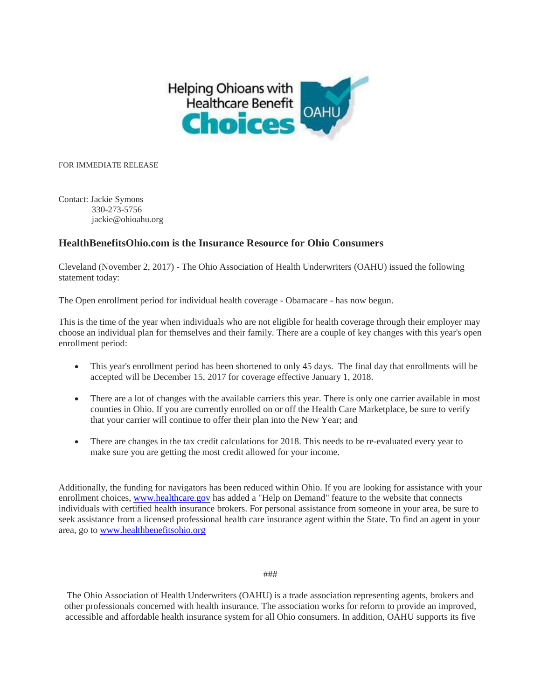

FOR IMMEDIATE RELEASE

Contact: Jackie Symons 330-273-5756 jackie@ohioahu.org

## **HealthBenefitsOhio.com is the Insurance Resource for Ohio Consumers**

Cleveland (November 2, 2017) - The Ohio Association of Health Underwriters (OAHU) issued the following statement today:

The Open enrollment period for individual health coverage - Obamacare - has now begun.

This is the time of the year when individuals who are not eligible for health coverage through their employer may choose an individual plan for themselves and their family. There are a couple of key changes with this year's open enrollment period:

- This year's enrollment period has been shortened to only 45 days. The final day that enrollments will be accepted will be December 15, 2017 for coverage effective January 1, 2018.
- There are a lot of changes with the available carriers this year. There is only one carrier available in most counties in Ohio. If you are currently enrolled on or off the Health Care Marketplace, be sure to verify that your carrier will continue to offer their plan into the New Year; and
- There are changes in the tax credit calculations for 2018. This needs to be re-evaluated every year to make sure you are getting the most credit allowed for your income.

Additionally, the funding for navigators has been reduced within Ohio. If you are looking for assistance with your enrollment choices, [www.healthcare.gov](http://www.healthcare.gov/) has added a "Help on Demand" feature to the website that connects individuals with certified health insurance brokers. For personal assistance from someone in your area, be sure to seek assistance from a licensed professional health care insurance agent within the State. To find an agent in your area, go to [www.healthbenefitsohio.org](http://www.healthbenefitsohio.org/)

## ###

The Ohio Association of Health Underwriters (OAHU) is a trade association representing agents, brokers and other professionals concerned with health insurance. The association works for reform to provide an improved, accessible and affordable health insurance system for all Ohio consumers. In addition, OAHU supports its five